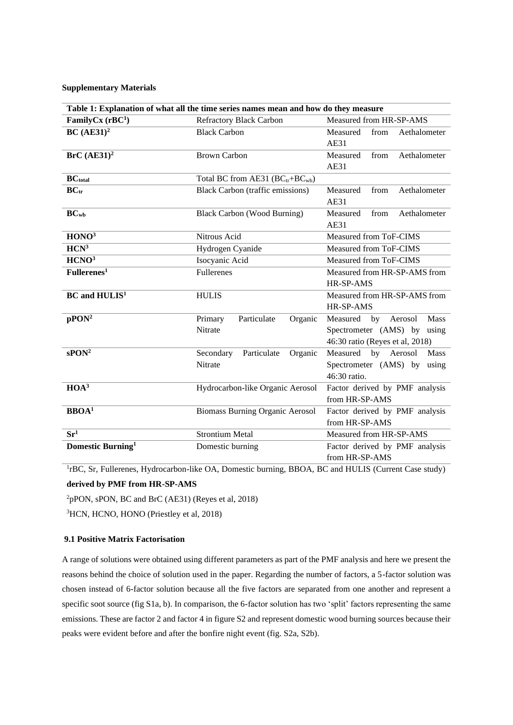## **Supplementary Materials**

| Table 1: Explanation of what all the time series names mean and how do they measure |                                             |                                    |
|-------------------------------------------------------------------------------------|---------------------------------------------|------------------------------------|
| FamilyCx $(rBC1)$                                                                   | <b>Refractory Black Carbon</b>              | Measured from HR-SP-AMS            |
| BC $(AE31)^2$                                                                       | <b>Black Carbon</b>                         | Measured<br>from<br>Aethalometer   |
|                                                                                     |                                             | AE31                               |
| BrC (AE31) <sup>2</sup>                                                             | <b>Brown Carbon</b>                         | from<br>Measured<br>Aethalometer   |
|                                                                                     |                                             | <b>AE31</b>                        |
| <b>BC</b> <sub>total</sub>                                                          | Total BC from AE31 (BCtr+BC <sub>wb</sub> ) |                                    |
| BC <sub>tr</sub>                                                                    | <b>Black Carbon (traffic emissions)</b>     | Measured<br>Aethalometer<br>from   |
|                                                                                     |                                             | AE31                               |
| $BC_{wb}$                                                                           | <b>Black Carbon (Wood Burning)</b>          | Aethalometer<br>Measured<br>from   |
|                                                                                     |                                             | AE31                               |
| HONO <sup>3</sup>                                                                   | Nitrous Acid                                | Measured from ToF-CIMS             |
| HCN <sup>3</sup>                                                                    | Hydrogen Cyanide                            | Measured from ToF-CIMS             |
| HCNO <sup>3</sup>                                                                   | Isocyanic Acid                              | Measured from ToF-CIMS             |
| $\overline{\mathrm{Fullerenes}^1}$                                                  | <b>Fullerenes</b>                           | Measured from HR-SP-AMS from       |
|                                                                                     |                                             | HR-SP-AMS                          |
| <b>BC</b> and HULIS <sup>1</sup>                                                    | <b>HULIS</b>                                | Measured from HR-SP-AMS from       |
|                                                                                     |                                             | HR-SP-AMS                          |
| pPON <sup>2</sup>                                                                   | Particulate<br>Organic<br>Primary           | <b>Mass</b><br>Measured by Aerosol |
|                                                                                     | Nitrate                                     | Spectrometer (AMS) by using        |
|                                                                                     |                                             | 46:30 ratio (Reyes et al, 2018)    |
| sPON <sup>2</sup>                                                                   | Particulate<br>Organic<br>Secondary         | by<br>Aerosol<br>Measured<br>Mass  |
|                                                                                     | Nitrate                                     | Spectrometer (AMS) by using        |
|                                                                                     |                                             | 46:30 ratio.                       |
| $HOA^3$                                                                             | Hydrocarbon-like Organic Aerosol            | Factor derived by PMF analysis     |
|                                                                                     |                                             | from HR-SP-AMS                     |
| $BBOAT$                                                                             | <b>Biomass Burning Organic Aerosol</b>      | Factor derived by PMF analysis     |
|                                                                                     |                                             | from HR-SP-AMS                     |
| $\overline{\mathbf{S}\mathbf{r}^1}$                                                 | <b>Strontium Metal</b>                      | Measured from HR-SP-AMS            |
| Domestic Burning <sup>1</sup>                                                       | Domestic burning                            | Factor derived by PMF analysis     |
|                                                                                     |                                             | from HR-SP-AMS                     |

<sup>1</sup>rBC, Sr, Fullerenes, Hydrocarbon-like OA, Domestic burning, BBOA, BC and HULIS (Current Case study) **derived by PMF from HR-SP-AMS**

<sup>2</sup>pPON, sPON, BC and BrC (AE31) (Reyes et al, 2018)

<sup>3</sup>HCN, HCNO, HONO (Priestley et al, 2018)

## **9.1 Positive Matrix Factorisation**

A range of solutions were obtained using different parameters as part of the PMF analysis and here we present the reasons behind the choice of solution used in the paper. Regarding the number of factors, a 5-factor solution was chosen instead of 6-factor solution because all the five factors are separated from one another and represent a specific soot source (fig S1a, b). In comparison, the 6-factor solution has two 'split' factors representing the same emissions. These are factor 2 and factor 4 in figure S2 and represent domestic wood burning sources because their peaks were evident before and after the bonfire night event (fig. S2a, S2b).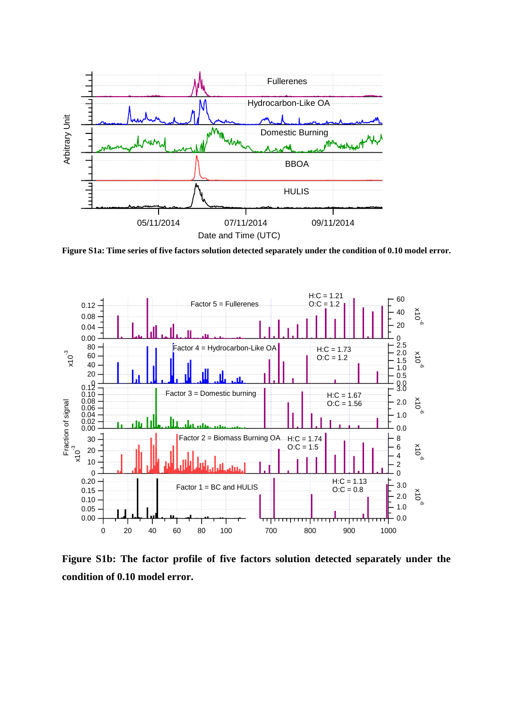

**Figure S1a: Time series of five factors solution detected separately under the condition of 0.10 model error.**



**Figure S1b: The factor profile of five factors solution detected separately under the condition of 0.10 model error.**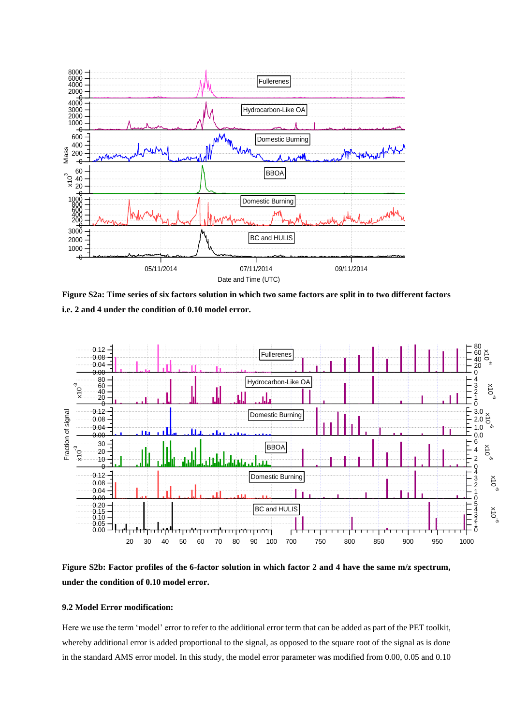

**Figure S2a: Time series of six factors solution in which two same factors are split in to two different factors i.e. 2 and 4 under the condition of 0.10 model error.**



**Figure S2b: Factor profiles of the 6-factor solution in which factor 2 and 4 have the same m/z spectrum, under the condition of 0.10 model error.**

## **9.2 Model Error modification:**

Here we use the term 'model' error to refer to the additional error term that can be added as part of the PET toolkit, whereby additional error is added proportional to the signal, as opposed to the square root of the signal as is done in the standard AMS error model. In this study, the model error parameter was modified from 0.00, 0.05 and 0.10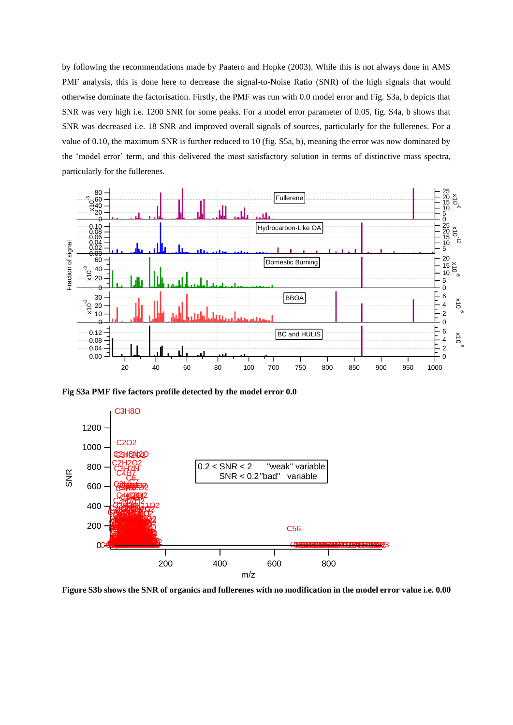by following the recommendations made by Paatero and Hopke (2003). While this is not always done in AMS PMF analysis, this is done here to decrease the signal-to-Noise Ratio (SNR) of the high signals that would otherwise dominate the factorisation. Firstly, the PMF was run with 0.0 model error and Fig. S3a, b depicts that SNR was very high i.e. 1200 SNR for some peaks. For a model error parameter of 0.05, fig. S4a, b shows that SNR was decreased i.e. 18 SNR and improved overall signals of sources, particularly for the fullerenes. For a value of 0.10, the maximum SNR is further reduced to 10 (fig. S5a, b), meaning the error was now dominated by the 'model error' term, and this delivered the most satisfactory solution in terms of distinctive mass spectra, particularly for the fullerenes.



**Fig S3a PMF five factors profile detected by the model error 0.0**



**Figure S3b shows the SNR of organics and fullerenes with no modification in the model error value i.e. 0.00**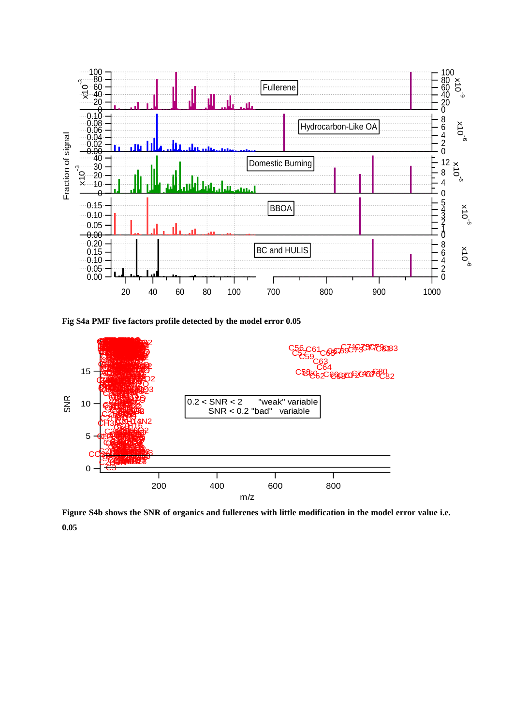

**Fig S4a PMF five factors profile detected by the model error 0.05**



**Figure S4b shows the SNR of organics and fullerenes with little modification in the model error value i.e. 0.05**